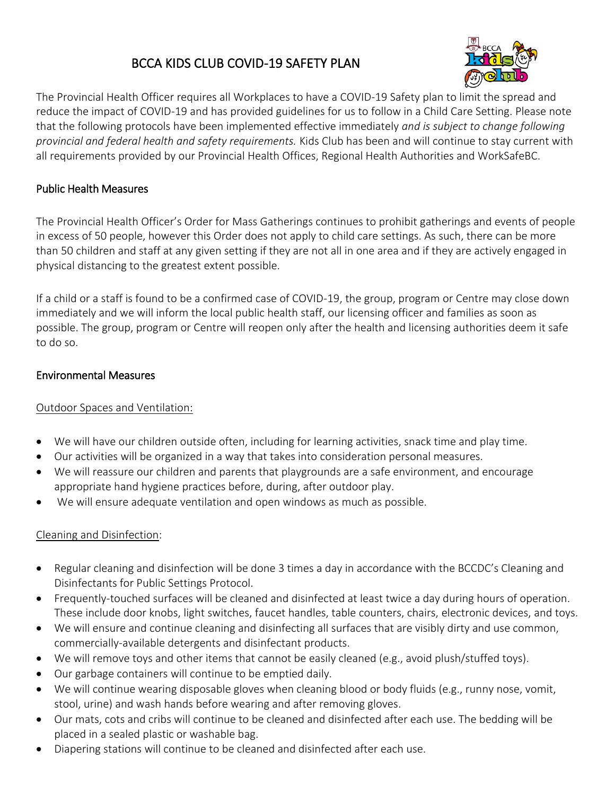# BCCA KIDS CLUB COVID-19 SAFETY PLAN



The Provincial Health Officer requires all Workplaces to have a COVID-19 Safety plan to limit the spread and reduce the impact of COVID-19 and has provided guidelines for us to follow in a Child Care Setting. Please note that the following protocols have been implemented effective immediately *and is subject to change following provincial and federal health and safety requirements.* Kids Club has been and will continue to stay current with all requirements provided by our Provincial Health Offices, Regional Health Authorities and WorkSafeBC.

### Public Health Measures

The Provincial Health Officer's Order for Mass Gatherings continues to prohibit gatherings and events of people in excess of 50 people, however this Order does not apply to child care settings. As such, there can be more than 50 children and staff at any given setting if they are not all in one area and if they are actively engaged in physical distancing to the greatest extent possible.

If a child or a staff is found to be a confirmed case of COVID-19, the group, program or Centre may close down immediately and we will inform the local public health staff, our licensing officer and families as soon as possible. The group, program or Centre will reopen only after the health and licensing authorities deem it safe to do so.

#### Environmental Measures

#### Outdoor Spaces and Ventilation:

- We will have our children outside often, including for learning activities, snack time and play time.
- Our activities will be organized in a way that takes into consideration personal measures.
- We will reassure our children and parents that playgrounds are a safe environment, and encourage appropriate hand hygiene practices before, during, after outdoor play.
- We will ensure adequate ventilation and open windows as much as possible.

## Cleaning and Disinfection:

- Regular cleaning and disinfection will be done 3 times a day in accordance with the BCCDC's Cleaning and Disinfectants for Public Settings Protocol.
- Frequently-touched surfaces will be cleaned and disinfected at least twice a day during hours of operation. These include door knobs, light switches, faucet handles, table counters, chairs, electronic devices, and toys.
- We will ensure and continue cleaning and disinfecting all surfaces that are visibly dirty and use common, commercially-available detergents and disinfectant products.
- We will remove toys and other items that cannot be easily cleaned (e.g., avoid plush/stuffed toys).
- Our garbage containers will continue to be emptied daily.
- We will continue wearing disposable gloves when cleaning blood or body fluids (e.g., runny nose, vomit, stool, urine) and wash hands before wearing and after removing gloves.
- Our mats, cots and cribs will continue to be cleaned and disinfected after each use. The bedding will be placed in a sealed plastic or washable bag.
- Diapering stations will continue to be cleaned and disinfected after each use.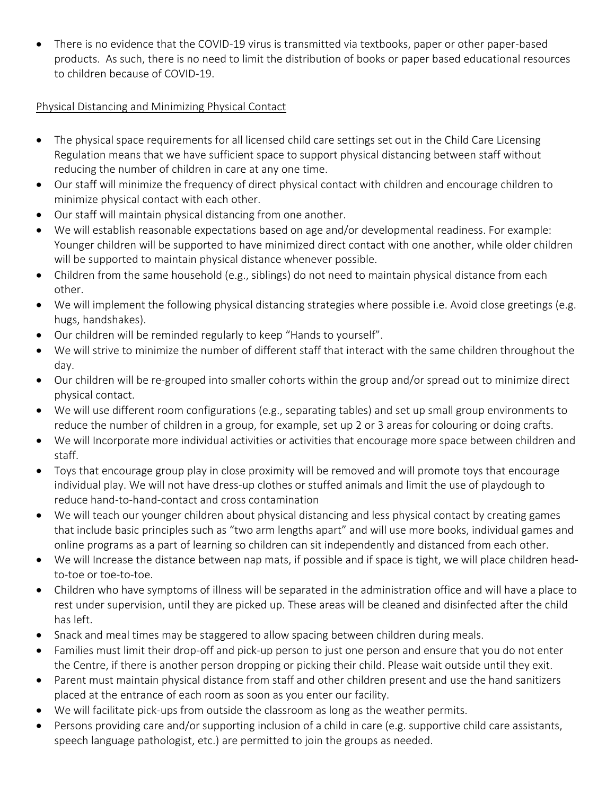There is no evidence that the COVID-19 virus is transmitted via textbooks, paper or other paper-based products. As such, there is no need to limit the distribution of books or paper based educational resources to children because of COVID-19.

## Physical Distancing and Minimizing Physical Contact

- The physical space requirements for all licensed child care settings set out in the Child Care Licensing Regulation means that we have sufficient space to support physical distancing between staff without reducing the number of children in care at any one time.
- Our staff will minimize the frequency of direct physical contact with children and encourage children to minimize physical contact with each other.
- Our staff will maintain physical distancing from one another.
- We will establish reasonable expectations based on age and/or developmental readiness. For example: Younger children will be supported to have minimized direct contact with one another, while older children will be supported to maintain physical distance whenever possible.
- Children from the same household (e.g., siblings) do not need to maintain physical distance from each other.
- We will implement the following physical distancing strategies where possible i.e. Avoid close greetings (e.g. hugs, handshakes).
- Our children will be reminded regularly to keep "Hands to yourself".
- We will strive to minimize the number of different staff that interact with the same children throughout the day.
- Our children will be re-grouped into smaller cohorts within the group and/or spread out to minimize direct physical contact.
- We will use different room configurations (e.g., separating tables) and set up small group environments to reduce the number of children in a group, for example, set up 2 or 3 areas for colouring or doing crafts.
- We will Incorporate more individual activities or activities that encourage more space between children and staff.
- Toys that encourage group play in close proximity will be removed and will promote toys that encourage individual play. We will not have dress-up clothes or stuffed animals and limit the use of playdough to reduce hand-to-hand-contact and cross contamination
- We will teach our younger children about physical distancing and less physical contact by creating games that include basic principles such as "two arm lengths apart" and will use more books, individual games and online programs as a part of learning so children can sit independently and distanced from each other.
- We will Increase the distance between nap mats, if possible and if space is tight, we will place children headto-toe or toe-to-toe.
- Children who have symptoms of illness will be separated in the administration office and will have a place to rest under supervision, until they are picked up. These areas will be cleaned and disinfected after the child has left.
- Snack and meal times may be staggered to allow spacing between children during meals.
- Families must limit their drop-off and pick-up person to just one person and ensure that you do not enter the Centre, if there is another person dropping or picking their child. Please wait outside until they exit.
- Parent must maintain physical distance from staff and other children present and use the hand sanitizers placed at the entrance of each room as soon as you enter our facility.
- We will facilitate pick-ups from outside the classroom as long as the weather permits.
- Persons providing care and/or supporting inclusion of a child in care (e.g. supportive child care assistants, speech language pathologist, etc.) are permitted to join the groups as needed.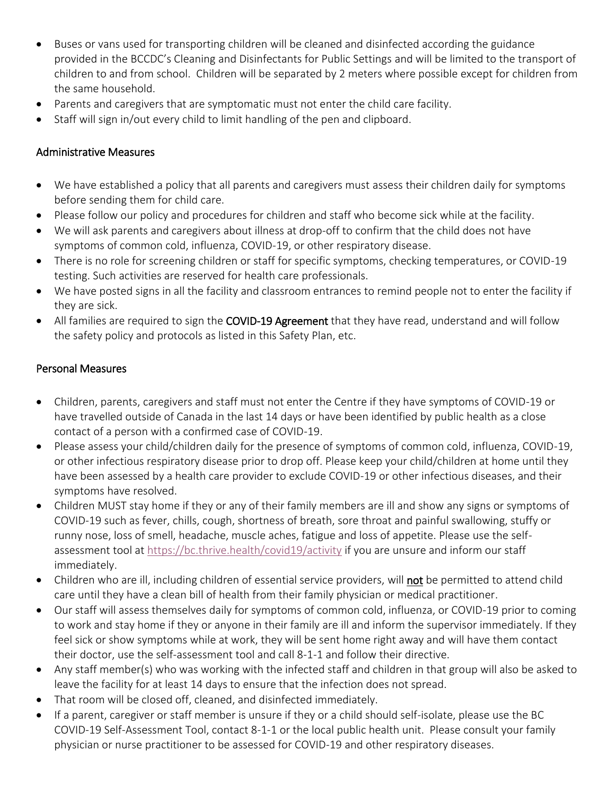- Buses or vans used for transporting children will be cleaned and disinfected according the guidance provided in the BCCDC's Cleaning and Disinfectants for Public Settings and will be limited to the transport of children to and from school. Children will be separated by 2 meters where possible except for children from the same household.
- Parents and caregivers that are symptomatic must not enter the child care facility.
- Staff will sign in/out every child to limit handling of the pen and clipboard.

#### Administrative Measures

- We have established a policy that all parents and caregivers must assess their children daily for symptoms before sending them for child care.
- Please follow our policy and procedures for children and staff who become sick while at the facility.
- We will ask parents and caregivers about illness at drop-off to confirm that the child does not have symptoms of common cold, influenza, COVID-19, or other respiratory disease.
- There is no role for screening children or staff for specific symptoms, checking temperatures, or COVID-19 testing. Such activities are reserved for health care professionals.
- We have posted signs in all the facility and classroom entrances to remind people not to enter the facility if they are sick.
- All families are required to sign the COVID-19 Agreement that they have read, understand and will follow the safety policy and protocols as listed in this Safety Plan, etc.

## Personal Measures

- Children, parents, caregivers and staff must not enter the Centre if they have symptoms of COVID-19 or have travelled outside of Canada in the last 14 days or have been identified by public health as a close contact of a person with a confirmed case of COVID-19.
- Please assess your child/children daily for the presence of symptoms of common cold, influenza, COVID-19, or other infectious respiratory disease prior to drop off. Please keep your child/children at home until they have been assessed by a health care provider to exclude COVID-19 or other infectious diseases, and their symptoms have resolved.
- Children MUST stay home if they or any of their family members are ill and show any signs or symptoms of COVID-19 such as fever, chills, cough, shortness of breath, sore throat and painful swallowing, stuffy or runny nose, loss of smell, headache, muscle aches, fatigue and loss of appetite. Please use the selfassessment tool at<https://bc.thrive.health/covid19/activity> if you are unsure and inform our staff immediately.
- Children who are ill, including children of essential service providers, will not be permitted to attend child care until they have a clean bill of health from their family physician or medical practitioner.
- Our staff will assess themselves daily for symptoms of common cold, influenza, or COVID-19 prior to coming to work and stay home if they or anyone in their family are ill and inform the supervisor immediately. If they feel sick or show symptoms while at work, they will be sent home right away and will have them contact their doctor, use the self-assessment tool and call 8-1-1 and follow their directive.
- Any staff member(s) who was working with the infected staff and children in that group will also be asked to leave the facility for at least 14 days to ensure that the infection does not spread.
- That room will be closed off, cleaned, and disinfected immediately.
- If a parent, caregiver or staff member is unsure if they or a child should self-isolate, please use the BC COVID-19 Self-Assessment Tool, contact 8-1-1 or the local public health unit. Please consult your family physician or nurse practitioner to be assessed for COVID-19 and other respiratory diseases.